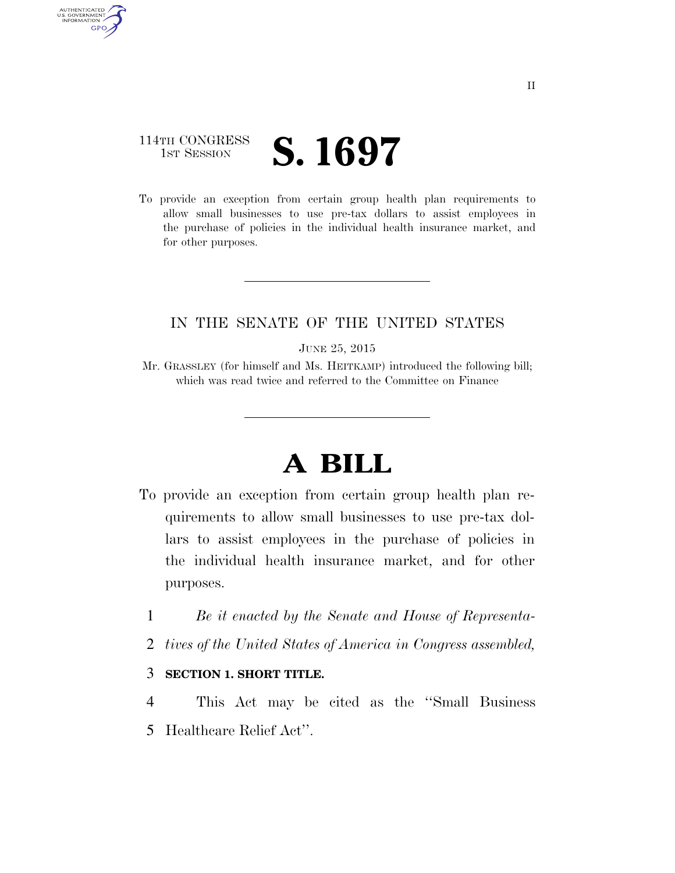### 114TH CONGRESS **1ST SESSION S. 1697**

AUTHENTICATED U.S. GOVERNMENT **GPO** 

> To provide an exception from certain group health plan requirements to allow small businesses to use pre-tax dollars to assist employees in the purchase of policies in the individual health insurance market, and for other purposes.

### IN THE SENATE OF THE UNITED STATES

JUNE 25, 2015

Mr. GRASSLEY (for himself and Ms. HEITKAMP) introduced the following bill; which was read twice and referred to the Committee on Finance

# **A BILL**

- To provide an exception from certain group health plan requirements to allow small businesses to use pre-tax dollars to assist employees in the purchase of policies in the individual health insurance market, and for other purposes.
	- 1 *Be it enacted by the Senate and House of Representa-*
	- 2 *tives of the United States of America in Congress assembled,*

#### 3 **SECTION 1. SHORT TITLE.**

4 This Act may be cited as the ''Small Business 5 Healthcare Relief Act''.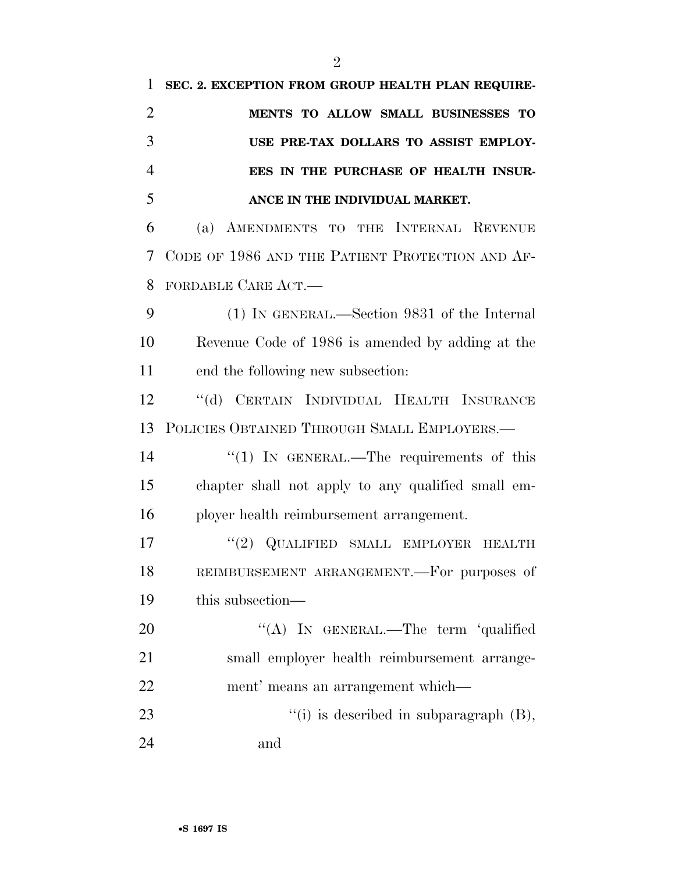| 1              | SEC. 2. EXCEPTION FROM GROUP HEALTH PLAN REQUIRE-  |
|----------------|----------------------------------------------------|
| $\overline{2}$ | MENTS TO ALLOW SMALL BUSINESSES TO                 |
| 3              | USE PRE-TAX DOLLARS TO ASSIST EMPLOY-              |
| $\overline{4}$ | EES IN THE PURCHASE OF HEALTH INSUR-               |
| 5              | ANCE IN THE INDIVIDUAL MARKET.                     |
| 6              | (a) AMENDMENTS TO THE INTERNAL REVENUE             |
| 7              | CODE OF 1986 AND THE PATIENT PROTECTION AND AF-    |
| 8              | FORDABLE CARE ACT.                                 |
| 9              | (1) IN GENERAL.—Section 9831 of the Internal       |
| 10             | Revenue Code of 1986 is amended by adding at the   |
| 11             | end the following new subsection:                  |
| 12             | "(d) CERTAIN INDIVIDUAL HEALTH INSURANCE           |
| 13             | POLICIES OBTAINED THROUGH SMALL EMPLOYERS.-        |
| 14             | " $(1)$ IN GENERAL.—The requirements of this       |
| 15             | chapter shall not apply to any qualified small em- |
| 16             | ployer health reimbursement arrangement.           |
| 17             | $``(2)$ QUALIFIED SMALL EMPLOYER HEALTH            |
| 18             | REIMBURSEMENT ARRANGEMENT. - For purposes of       |
| 19             | this subsection-                                   |
| 20             | "(A) IN GENERAL.—The term 'qualified               |
| 21             | small employer health reimbursement arrange-       |
| 22             | ment' means an arrangement which—                  |
| 23             | "(i) is described in subparagraph $(B)$ ,          |
| 24             | and                                                |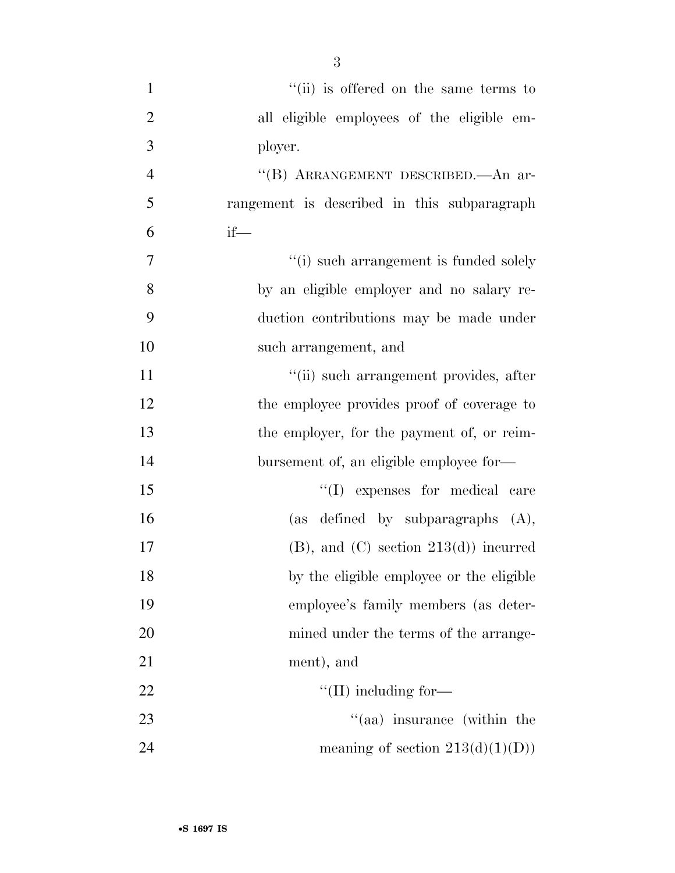- 1 ''(ii) is offered on the same terms to 2 all eligible employees of the eligible em-3 ployer. 4 ''(B) ARRANGEMENT DESCRIBED.—An ar-5 rangement is described in this subparagraph  $\frac{6}{1}$  if 7  $(i)$  such arrangement is funded solely 8 by an eligible employer and no salary re-9 duction contributions may be made under 10 such arrangement, and 11 ''(ii) such arrangement provides, after 12 the employee provides proof of coverage to 13 the employer, for the payment of, or reim-14 bursement of, an eligible employee for— 15  $\text{``(I)}$  expenses for medical care 16 (as defined by subparagraphs  $(A)$ , 17 (B), and (C) section  $213(d)$  incurred 18 by the eligible employee or the eligible 19 employee's family members (as deter-20 mined under the terms of the arrange-21 ment), and 22  $\text{``(II)}$  including for— 23 ''(aa) insurance (within the
- 24 meaning of section  $213(d)(1)(D)$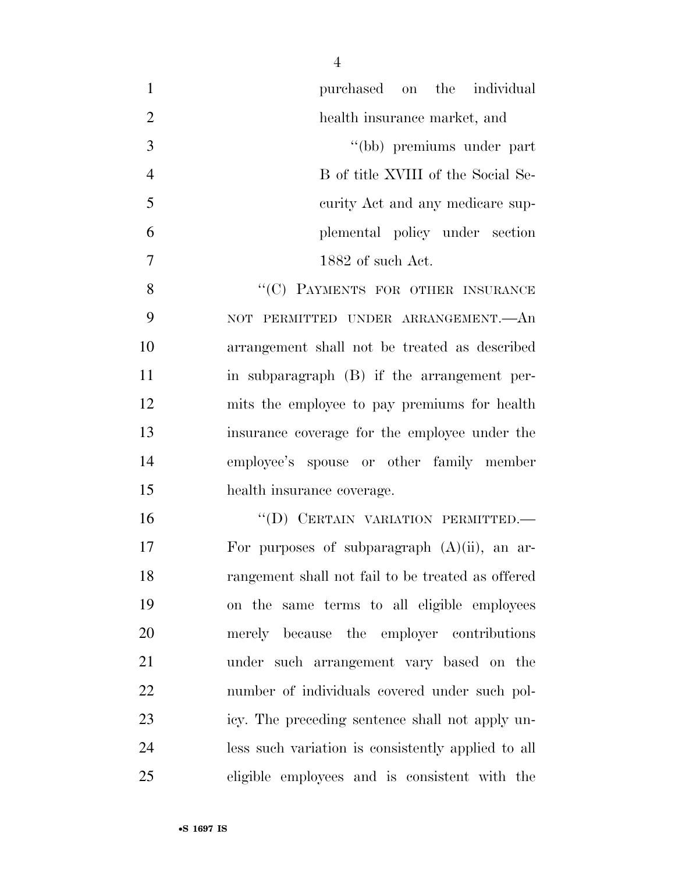| $\mathbf{1}$   | purchased on the individual                        |
|----------------|----------------------------------------------------|
| $\overline{2}$ | health insurance market, and                       |
| 3              | "(bb) premiums under part                          |
| $\overline{4}$ | B of title XVIII of the Social Se-                 |
| 5              | curity Act and any medicare sup-                   |
| 6              | plemental policy under section                     |
| 7              | 1882 of such Act.                                  |
| 8              | "(C) PAYMENTS FOR OTHER INSURANCE                  |
| 9              | NOT PERMITTED UNDER ARRANGEMENT. An                |
| 10             | arrangement shall not be treated as described      |
| 11             | in subparagraph (B) if the arrangement per-        |
| 12             | mits the employee to pay premiums for health       |
| 13             | insurance coverage for the employee under the      |
| 14             | employee's spouse or other family member           |
| 15             | health insurance coverage.                         |
| 16             | "(D) CERTAIN VARIATION PERMITTED.-                 |
| 17             | For purposes of subparagraph $(A)(ii)$ , an ar-    |
| 18             | rangement shall not fail to be treated as offered  |
| 19             | on the same terms to all eligible employees        |
| 20             | merely because the employer contributions          |
| 21             | under such arrangement vary based on the           |
| 22             | number of individuals covered under such pol-      |
| 23             | icy. The preceding sentence shall not apply un-    |
| 24             | less such variation is consistently applied to all |
| 25             | eligible employees and is consistent with the      |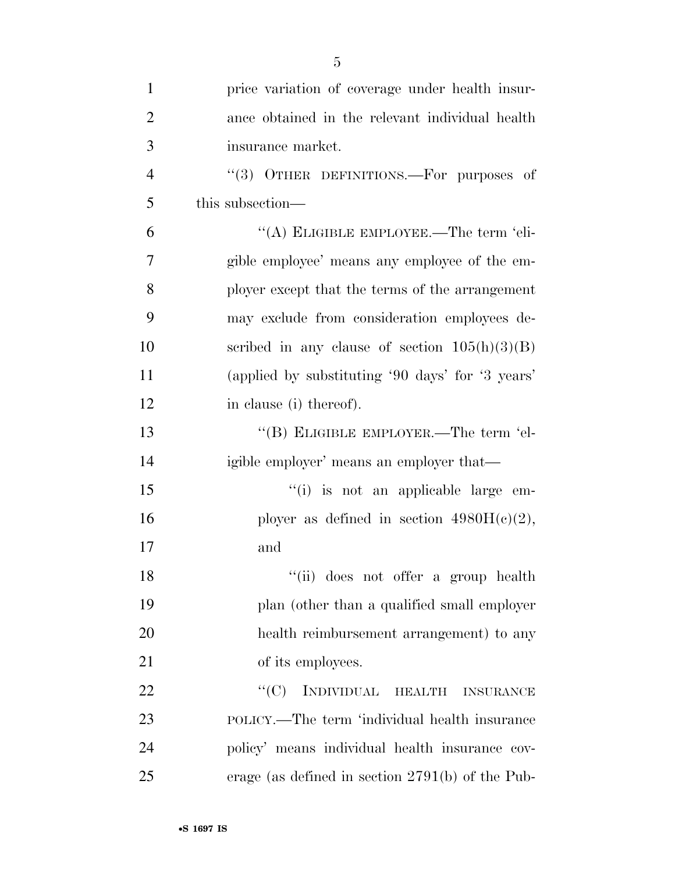| $\mathbf{1}$   | price variation of coverage under health insur-    |
|----------------|----------------------------------------------------|
| $\overline{2}$ | ance obtained in the relevant individual health    |
| 3              | insurance market.                                  |
| $\overline{4}$ | "(3) OTHER DEFINITIONS.—For purposes of            |
| 5              | this subsection—                                   |
| 6              | "(A) ELIGIBLE EMPLOYEE.—The term 'eli-             |
| 7              | gible employee' means any employee of the em-      |
| 8              | ployer except that the terms of the arrangement    |
| 9              | may exclude from consideration employees de-       |
| 10             | scribed in any clause of section $105(h)(3)(B)$    |
| 11             | (applied by substituting '90 days' for '3 years'   |
| 12             | in clause (i) thereof).                            |
| 13             | "(B) ELIGIBLE EMPLOYER.—The term 'el-              |
| 14             | igible employer' means an employer that—           |
| 15             | "(i) is not an applicable large em-                |
| 16             | ployer as defined in section $4980H(c)(2)$ ,       |
| 17             | and                                                |
| 18             | "(ii) does not offer a group health                |
| 19             | plan (other than a qualified small employer        |
| 20             | health reimbursement arrangement) to any           |
| 21             | of its employees.                                  |
| 22             | INDIVIDUAL HEALTH<br>``(C)<br><b>INSURANCE</b>     |
| 23             | POLICY.—The term 'individual health insurance      |
| 24             | policy' means individual health insurance cov-     |
| 25             | erage (as defined in section $2791(b)$ of the Pub- |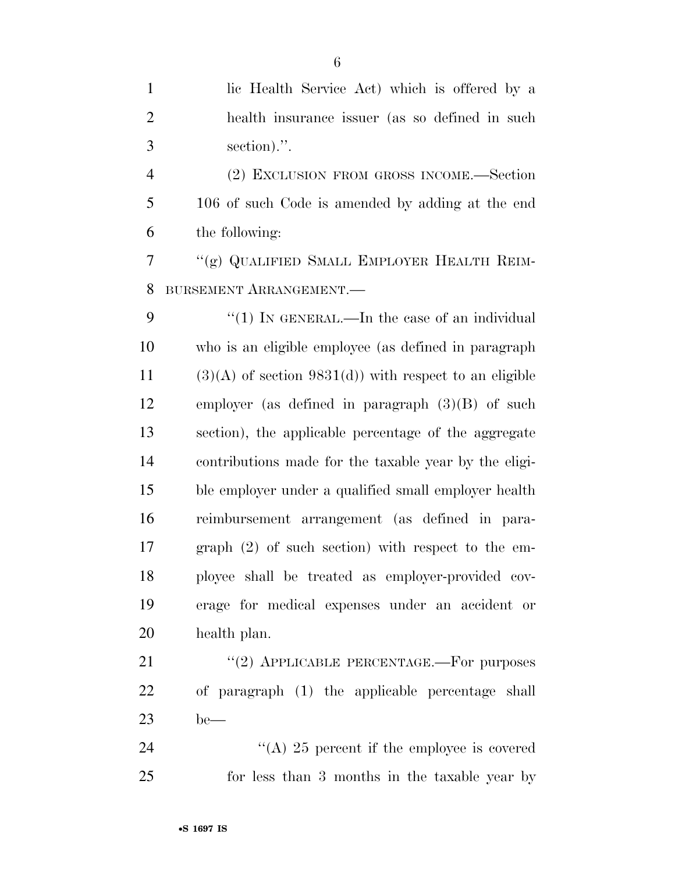| $\mathbf{1}$   | lic Health Service Act) which is offered by a            |
|----------------|----------------------------------------------------------|
| $\overline{2}$ | health insurance issuer (as so defined in such           |
| 3              | section).".                                              |
| $\overline{4}$ | (2) EXCLUSION FROM GROSS INCOME.—Section                 |
| 5              | 106 of such Code is amended by adding at the end         |
| 6              | the following:                                           |
| 7              | "(g) QUALIFIED SMALL EMPLOYER HEALTH REIM-               |
| 8              | BURSEMENT ARRANGEMENT.                                   |
| 9              | "(1) IN GENERAL.—In the case of an individual            |
| 10             | who is an eligible employee (as defined in paragraph     |
| 11             | $(3)(A)$ of section 9831(d)) with respect to an eligible |
| 12             | employer (as defined in paragraph $(3)(B)$ of such       |
| 13             | section), the applicable percentage of the aggregate     |
| 14             | contributions made for the taxable year by the eligi-    |
| 15             | ble employer under a qualified small employer health     |
| 16             | reimbursement arrangement (as defined in para-           |
| 17             | graph $(2)$ of such section) with respect to the em-     |
| 18             | ployee shall be treated as employer-provided cov-        |
| 19             | erage for medical expenses under an accident or          |
| 20             | health plan.                                             |
| 21             | "(2) APPLICABLE PERCENTAGE.—For purposes                 |
| 22             | of paragraph (1) the applicable percentage shall         |
| 23             | $be$ —                                                   |
| 24             | "(A) 25 percent if the employee is covered               |
| 25             | for less than 3 months in the taxable year by            |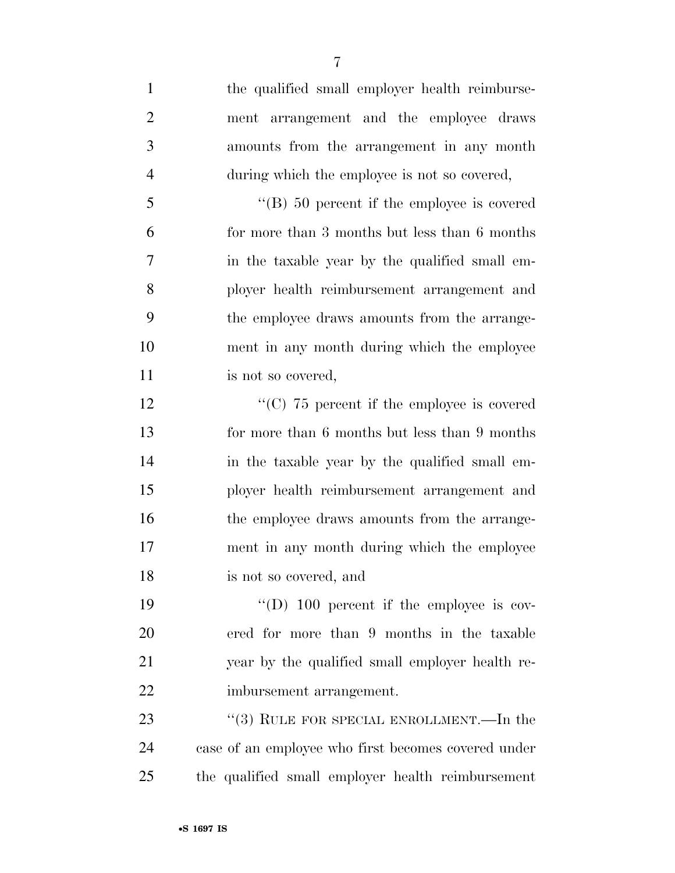the qualified small employer health reimburse- ment arrangement and the employee draws amounts from the arrangement in any month during which the employee is not so covered, ''(B) 50 percent if the employee is covered for more than 3 months but less than 6 months in the taxable year by the qualified small em- ployer health reimbursement arrangement and the employee draws amounts from the arrange- ment in any month during which the employee 11 is not so covered,  $\cdot$  (C) 75 percent if the employee is covered

 for more than 6 months but less than 9 months in the taxable year by the qualified small em- ployer health reimbursement arrangement and 16 the employee draws amounts from the arrange- ment in any month during which the employee is not so covered, and

 $\text{``(D)}$  100 percent if the employee is cov- ered for more than 9 months in the taxable year by the qualified small employer health re-imbursement arrangement.

23 "(3) RULE FOR SPECIAL ENROLLMENT.—In the case of an employee who first becomes covered under the qualified small employer health reimbursement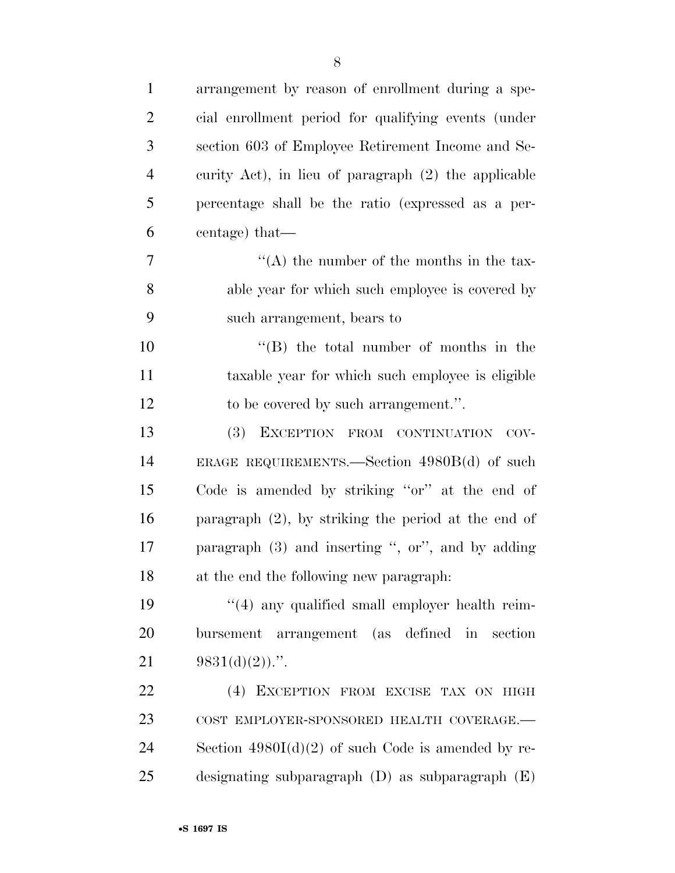| $\mathbf{1}$   | arrangement by reason of enrollment during a spe-      |
|----------------|--------------------------------------------------------|
| $\overline{2}$ | cial enrollment period for qualifying events (under    |
| 3              | section 603 of Employee Retirement Income and Se-      |
| $\overline{4}$ | curity Act), in lieu of paragraph (2) the applicable   |
| 5              | percentage shall be the ratio (expressed as a per-     |
| 6              | centage) that—                                         |
| 7              | $\lq\lq$ the number of the months in the tax-          |
| 8              | able year for which such employee is covered by        |
| 9              | such arrangement, bears to                             |
| 10             | $\lq\lq$ the total number of months in the             |
| 11             | taxable year for which such employee is eligible       |
| 12             | to be covered by such arrangement.".                   |
| 13             | (3) EXCEPTION FROM CONTINUATION<br>COV-                |
| 14             | ERAGE REQUIREMENTS.—Section $4980B(d)$ of such         |
| 15             | Code is amended by striking "or" at the end of         |
| 16             | paragraph $(2)$ , by striking the period at the end of |
| 17             | paragraph $(3)$ and inserting ", or", and by adding    |
| 18             | at the end the following new paragraph.                |
| 19             | $\cdot$ (4) any qualified small employer health reim-  |
| 20             | arrangement (as defined in<br>section<br>bursement     |
| 21             | $9831(d)(2)$ .".                                       |
| 22             | (4) EXCEPTION FROM EXCISE TAX ON HIGH                  |
| 23             | COST EMPLOYER-SPONSORED HEALTH COVERAGE.-              |
| 24             | Section $4980I(d)(2)$ of such Code is amended by re-   |
| 25             | designating subparagraph $(D)$ as subparagraph $(E)$   |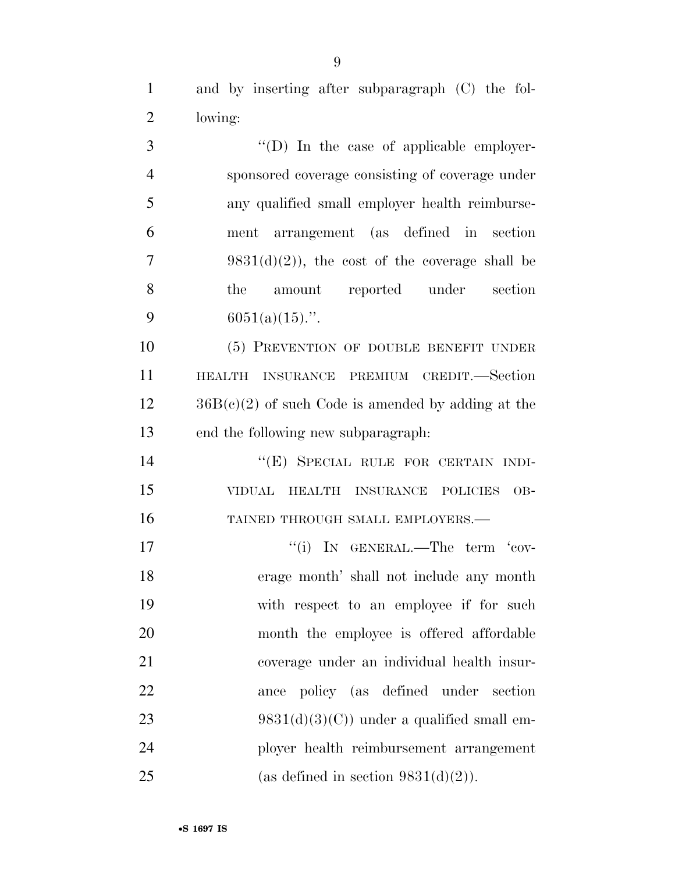and by inserting after subparagraph (C) the fol-lowing:

 $\qquad$  "(D) In the case of applicable employer- sponsored coverage consisting of coverage under any qualified small employer health reimburse- ment arrangement (as defined in section 7 9831(d)(2)), the cost of the coverage shall be the amount reported under section 9 6051(a)(15).".

 (5) PREVENTION OF DOUBLE BENEFIT UNDER HEALTH INSURANCE PREMIUM CREDIT.—Section  $12 \qquad \qquad 36B(c)(2)$  of such Code is amended by adding at the end the following new subparagraph:

14 "(E) SPECIAL RULE FOR CERTAIN INDI- VIDUAL HEALTH INSURANCE POLICIES OB-16 TAINED THROUGH SMALL EMPLOYERS.—

 ''(i) IN GENERAL.—The term 'cov- erage month' shall not include any month with respect to an employee if for such month the employee is offered affordable coverage under an individual health insur- ance policy (as defined under section 23 9831(d)(3)(C)) under a qualified small em- ployer health reimbursement arrangement 25 (as defined in section  $9831(d)(2)$ ).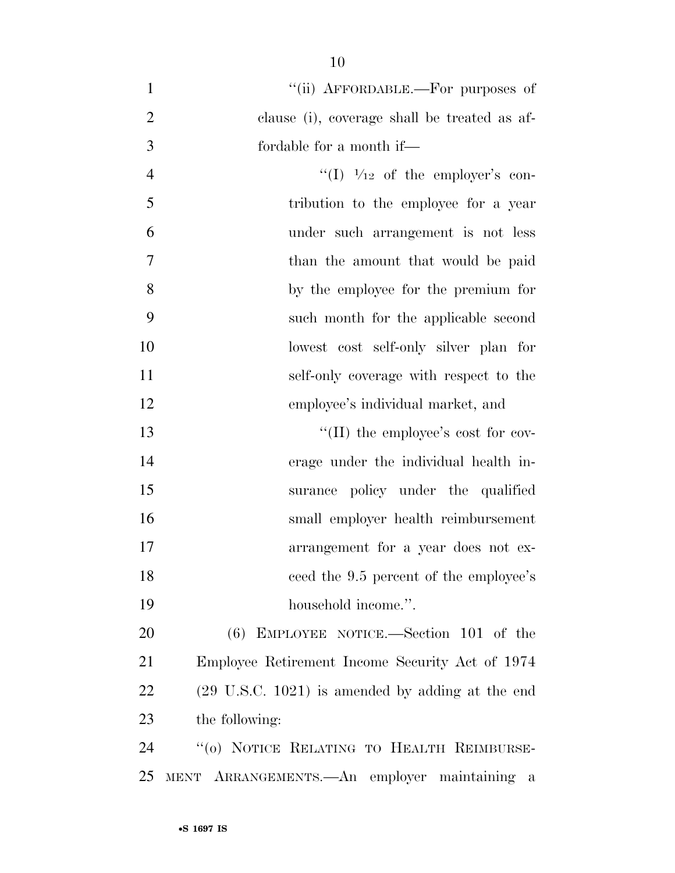- 1 "(ii) AFFORDABLE.—For purposes of clause (i), coverage shall be treated as af-fordable for a month if—
- 4  $\frac{((1) \ 1/12)}{1}$  of the employer's con- tribution to the employee for a year under such arrangement is not less 7 than the amount that would be paid by the employee for the premium for such month for the applicable second lowest cost self-only silver plan for self-only coverage with respect to the employee's individual market, and

 $\text{``(II)}$  the employee's cost for cov- erage under the individual health in- surance policy under the qualified small employer health reimbursement arrangement for a year does not ex-18 ceed the 9.5 percent of the employee's 19 household income.".

 (6) EMPLOYEE NOTICE.—Section 101 of the Employee Retirement Income Security Act of 1974 (29 U.S.C. 1021) is amended by adding at the end the following:

 ''(o) NOTICE RELATING TO HEALTH REIMBURSE-MENT ARRANGEMENTS.—An employer maintaining a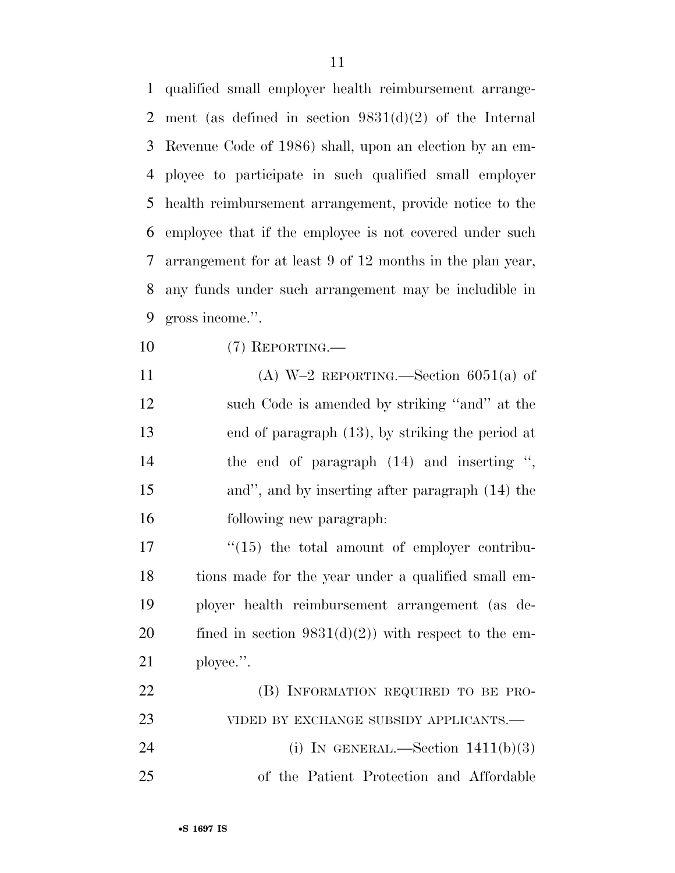qualified small employer health reimbursement arrange- ment (as defined in section 9831(d)(2) of the Internal Revenue Code of 1986) shall, upon an election by an em- ployee to participate in such qualified small employer health reimbursement arrangement, provide notice to the employee that if the employee is not covered under such arrangement for at least 9 of 12 months in the plan year, any funds under such arrangement may be includible in gross income.''.

(7) REPORTING.—

11 (A)  $W=2$  REPORTING.—Section 6051(a) of 12 such Code is amended by striking "and" at the end of paragraph (13), by striking the period at the end of paragraph (14) and inserting '', and'', and by inserting after paragraph (14) the following new paragraph:

 "(15) the total amount of employer contribu- tions made for the year under a qualified small em- ployer health reimbursement arrangement (as de-20 fined in section  $9831(d)(2)$  with respect to the em-ployee.''.

| 22 | (B) INFORMATION REQUIRED TO BE PRO-      |
|----|------------------------------------------|
| 23 | VIDED BY EXCHANGE SUBSIDY APPLICANTS.—   |
| 24 | (i) IN GENERAL.—Section $1411(b)(3)$     |
| 25 | of the Patient Protection and Affordable |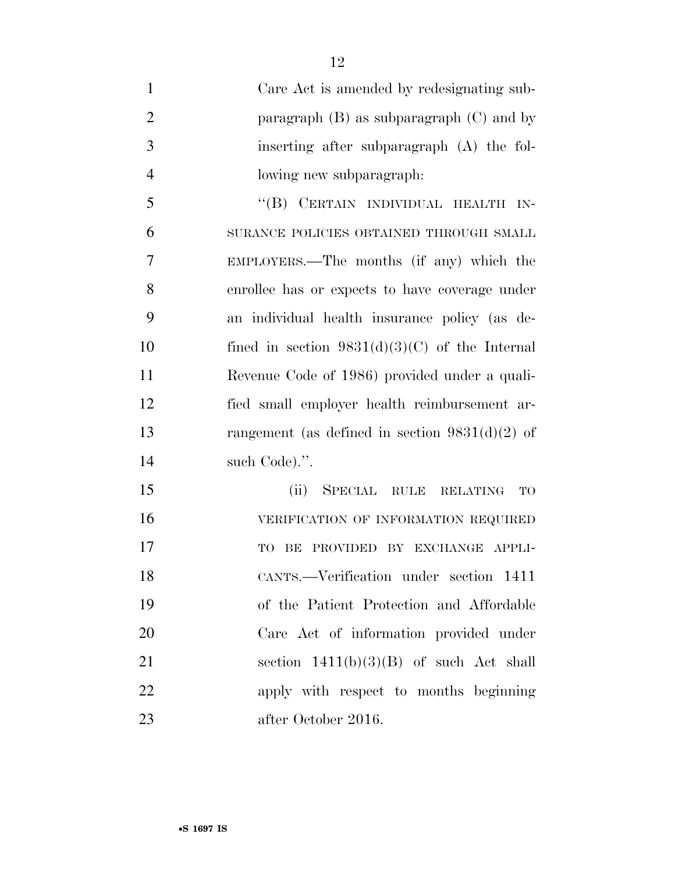Care Act is amended by redesignating sub-2 paragraph (B) as subparagraph (C) and by inserting after subparagraph (A) the fol- lowing new subparagraph: ''(B) CERTAIN INDIVIDUAL HEALTH IN- SURANCE POLICIES OBTAINED THROUGH SMALL EMPLOYERS.—The months (if any) which the enrollee has or expects to have coverage under an individual health insurance policy (as de-10 fined in section  $9831(d)(3)(C)$  of the Internal Revenue Code of 1986) provided under a quali- fied small employer health reimbursement ar- rangement (as defined in section 9831(d)(2) of 14 such Code).". (ii) SPECIAL RULE RELATING TO VERIFICATION OF INFORMATION REQUIRED

17 TO BE PROVIDED BY EXCHANGE APPLI-

CANTS.—Verification under section 1411

of the Patient Protection and Affordable

Care Act of information provided under

21 section  $1411(b)(3)(B)$  of such Act shall

apply with respect to months beginning

after October 2016.

•**S 1697 IS**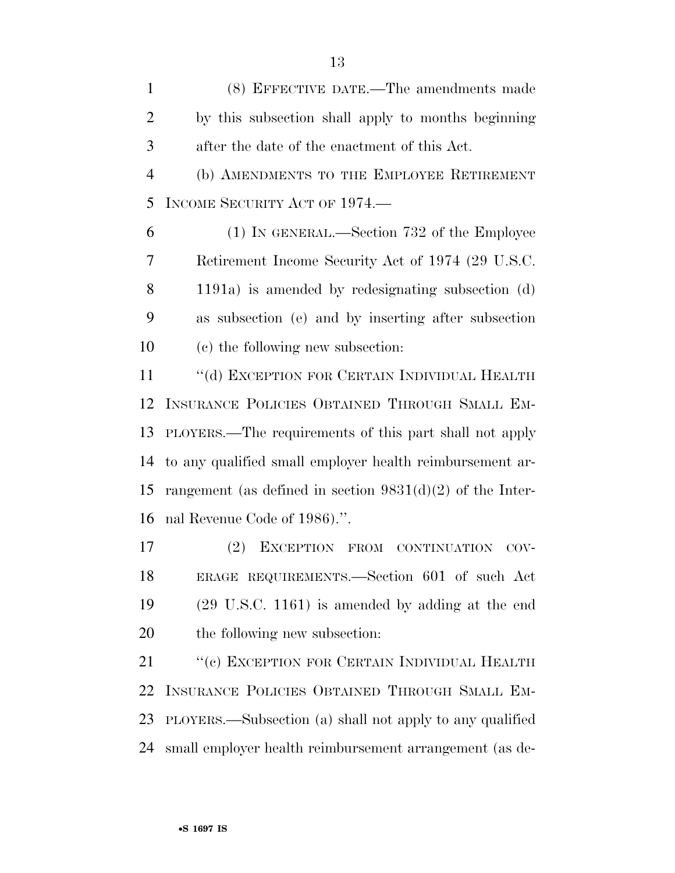(8) EFFECTIVE DATE.—The amendments made by this subsection shall apply to months beginning after the date of the enactment of this Act.

 (b) AMENDMENTS TO THE EMPLOYEE RETIREMENT INCOME SECURITY ACT OF 1974.—

 (1) IN GENERAL.—Section 732 of the Employee Retirement Income Security Act of 1974 (29 U.S.C. 1191a) is amended by redesignating subsection (d) as subsection (e) and by inserting after subsection (c) the following new subsection:

11 "(d) EXCEPTION FOR CERTAIN INDIVIDUAL HEALTH INSURANCE POLICIES OBTAINED THROUGH SMALL EM- PLOYERS.—The requirements of this part shall not apply to any qualified small employer health reimbursement ar- rangement (as defined in section 9831(d)(2) of the Inter-nal Revenue Code of 1986).''.

 (2) EXCEPTION FROM CONTINUATION COV- ERAGE REQUIREMENTS.—Section 601 of such Act (29 U.S.C. 1161) is amended by adding at the end the following new subsection:

21 "(c) EXCEPTION FOR CERTAIN INDIVIDUAL HEALTH INSURANCE POLICIES OBTAINED THROUGH SMALL EM- PLOYERS.—Subsection (a) shall not apply to any qualified small employer health reimbursement arrangement (as de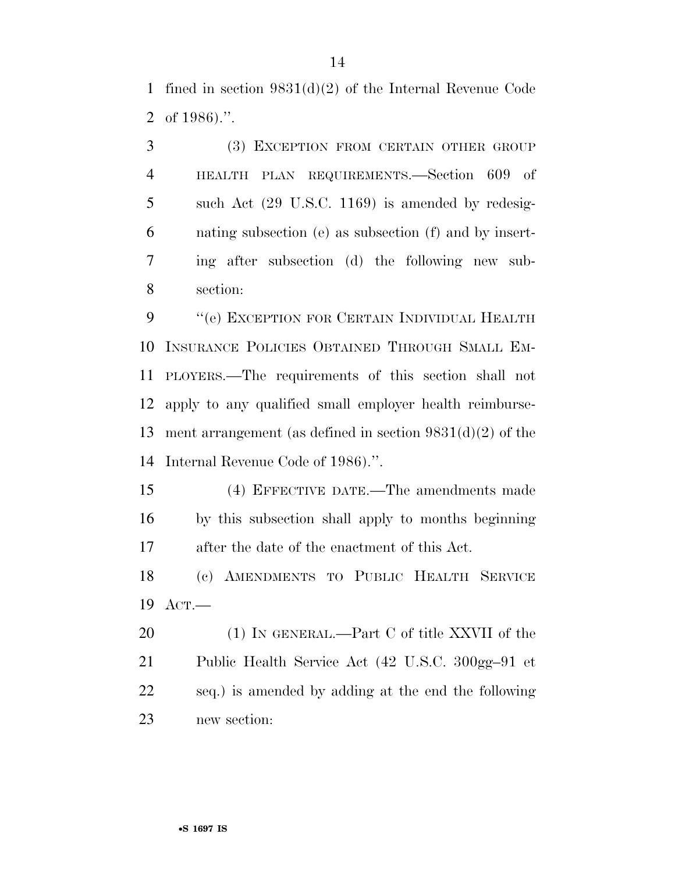fined in section 9831(d)(2) of the Internal Revenue Code of 1986).''.

 (3) EXCEPTION FROM CERTAIN OTHER GROUP HEALTH PLAN REQUIREMENTS.—Section 609 of such Act (29 U.S.C. 1169) is amended by redesig- nating subsection (e) as subsection (f) and by insert- ing after subsection (d) the following new sub-section:

9 "'(e) EXCEPTION FOR CERTAIN INDIVIDUAL HEALTH INSURANCE POLICIES OBTAINED THROUGH SMALL EM- PLOYERS.—The requirements of this section shall not apply to any qualified small employer health reimburse- ment arrangement (as defined in section 9831(d)(2) of the Internal Revenue Code of 1986).''.

 (4) EFFECTIVE DATE.—The amendments made by this subsection shall apply to months beginning after the date of the enactment of this Act.

 (c) AMENDMENTS TO PUBLIC HEALTH SERVICE ACT.—

20 (1) IN GENERAL.—Part C of title XXVII of the Public Health Service Act (42 U.S.C. 300gg–91 et seq.) is amended by adding at the end the following new section: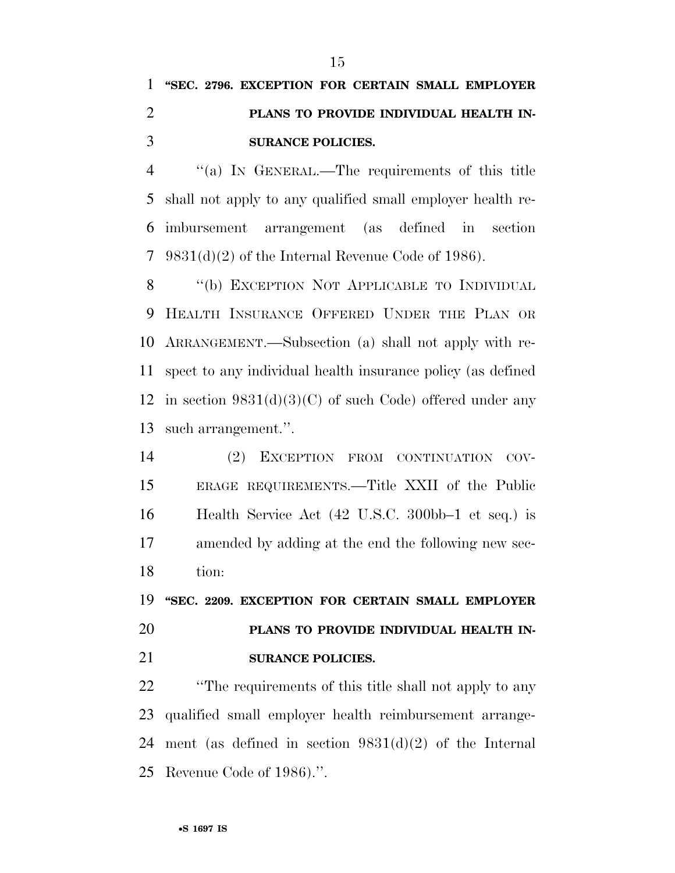## **''SEC. 2796. EXCEPTION FOR CERTAIN SMALL EMPLOYER PLANS TO PROVIDE INDIVIDUAL HEALTH IN-SURANCE POLICIES.**

 ''(a) IN GENERAL.—The requirements of this title shall not apply to any qualified small employer health re- imbursement arrangement (as defined in section 9831(d)(2) of the Internal Revenue Code of 1986).

8 "(b) EXCEPTION NOT APPLICABLE TO INDIVIDUAL HEALTH INSURANCE OFFERED UNDER THE PLAN OR ARRANGEMENT.—Subsection (a) shall not apply with re- spect to any individual health insurance policy (as defined 12 in section  $9831(d)(3)(C)$  of such Code) offered under any such arrangement.''.

 (2) EXCEPTION FROM CONTINUATION COV- ERAGE REQUIREMENTS.—Title XXII of the Public Health Service Act (42 U.S.C. 300bb–1 et seq.) is amended by adding at the end the following new sec-tion:

 **''SEC. 2209. EXCEPTION FOR CERTAIN SMALL EMPLOYER PLANS TO PROVIDE INDIVIDUAL HEALTH IN-SURANCE POLICIES.** 

 ''The requirements of this title shall not apply to any qualified small employer health reimbursement arrange-24 ment (as defined in section  $9831(d)(2)$  of the Internal Revenue Code of 1986).''.